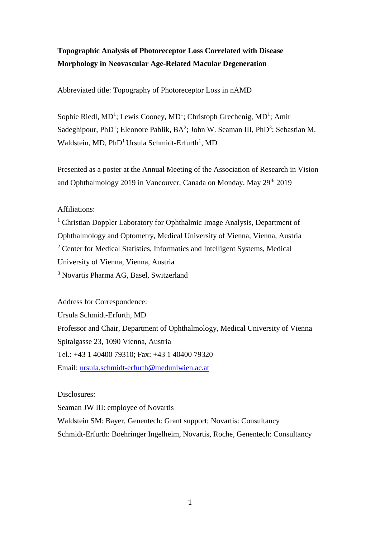# **Topographic Analysis of Photoreceptor Loss Correlated with Disease Morphology in Neovascular Age-Related Macular Degeneration**

Abbreviated title: Topography of Photoreceptor Loss in nAMD

Sophie Riedl, MD<sup>1</sup>; Lewis Cooney, MD<sup>1</sup>; Christoph Grechenig, MD<sup>1</sup>; Amir Sadeghipour, PhD<sup>1</sup>; Eleonore Pablik, BA<sup>2</sup>; John W. Seaman III, PhD<sup>3</sup>; Sebastian M. Waldstein, MD,  $\mathrm{PhD^1}$  Ursula Schmidt-Erfurth $^1$ , MD

Presented as a poster at the Annual Meeting of the Association of Research in Vision and Ophthalmology 2019 in Vancouver, Canada on Monday, May 29th 2019

## Affiliations:

<sup>1</sup> Christian Doppler Laboratory for Ophthalmic Image Analysis, Department of Ophthalmology and Optometry, Medical University of Vienna, Vienna, Austria <sup>2</sup> Center for Medical Statistics, Informatics and Intelligent Systems, Medical University of Vienna, Vienna, Austria <sup>3</sup> Novartis Pharma AG, Basel, Switzerland

Address for Correspondence: Ursula Schmidt-Erfurth, MD Professor and Chair, Department of Ophthalmology, Medical University of Vienna Spitalgasse 23, 1090 Vienna, Austria Tel.: +43 1 40400 79310; Fax: +43 1 40400 79320 Email: [ursula.schmidt-erfurth@meduniwien.ac.at](mailto:ursula.schmidt-erfurth@meduniwien.ac.at)

## Disclosures:

Seaman JW III: employee of Novartis Waldstein SM: Bayer, Genentech: Grant support; Novartis: Consultancy Schmidt-Erfurth: Boehringer Ingelheim, Novartis, Roche, Genentech: Consultancy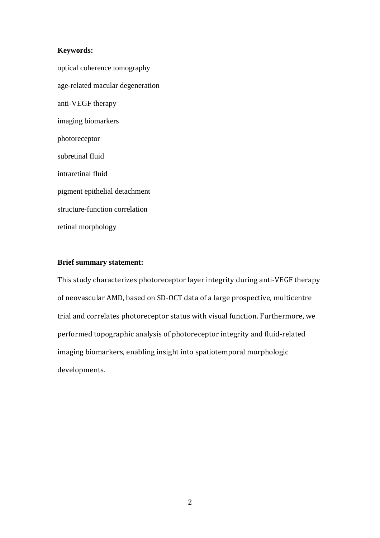## **Keywords:**

optical coherence tomography age-related macular degeneration anti-VEGF therapy imaging biomarkers photoreceptor subretinal fluid intraretinal fluid pigment epithelial detachment structure-function correlation retinal morphology

## **Brief summary statement:**

This study characterizes photoreceptor layer integrity during anti-VEGF therapy of neovascular AMD, based on SD-OCT data of a large prospective, multicentre trial and correlates photoreceptor status with visual function. Furthermore, we performed topographic analysis of photoreceptor integrity and fluid-related imaging biomarkers, enabling insight into spatiotemporal morphologic developments.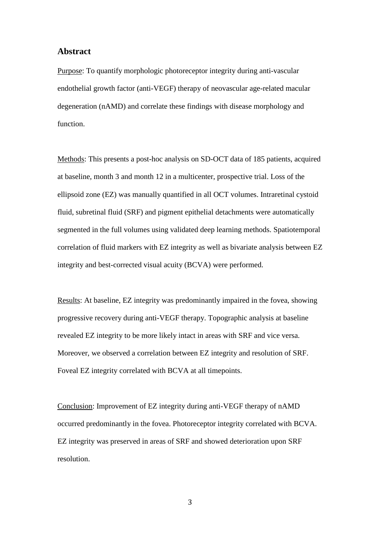#### **Abstract**

Purpose: To quantify morphologic photoreceptor integrity during anti-vascular endothelial growth factor (anti-VEGF) therapy of neovascular age-related macular degeneration (nAMD) and correlate these findings with disease morphology and function.

Methods: This presents a post-hoc analysis on SD-OCT data of 185 patients, acquired at baseline, month 3 and month 12 in a multicenter, prospective trial. Loss of the ellipsoid zone (EZ) was manually quantified in all OCT volumes. Intraretinal cystoid fluid, subretinal fluid (SRF) and pigment epithelial detachments were automatically segmented in the full volumes using validated deep learning methods. Spatiotemporal correlation of fluid markers with EZ integrity as well as bivariate analysis between EZ integrity and best-corrected visual acuity (BCVA) were performed.

Results: At baseline, EZ integrity was predominantly impaired in the fovea, showing progressive recovery during anti-VEGF therapy. Topographic analysis at baseline revealed EZ integrity to be more likely intact in areas with SRF and vice versa. Moreover, we observed a correlation between EZ integrity and resolution of SRF. Foveal EZ integrity correlated with BCVA at all timepoints.

Conclusion: Improvement of EZ integrity during anti-VEGF therapy of nAMD occurred predominantly in the fovea. Photoreceptor integrity correlated with BCVA. EZ integrity was preserved in areas of SRF and showed deterioration upon SRF resolution.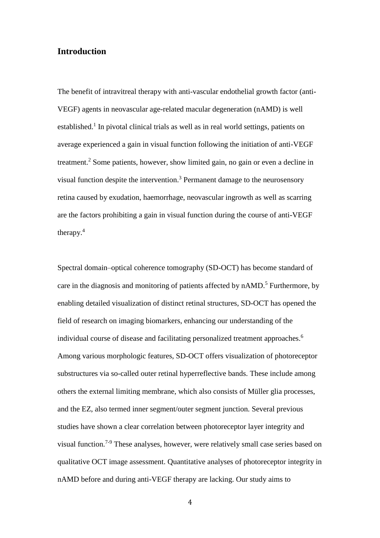## **Introduction**

The benefit of intravitreal therapy with anti-vascular endothelial growth factor (anti-VEGF) agents in neovascular age-related macular degeneration (nAMD) is well established.<sup>1</sup> In pivotal clinical trials as well as in real world settings, patients on average experienced a gain in visual function following the initiation of anti-VEGF treatment. <sup>2</sup> Some patients, however, show limited gain, no gain or even a decline in visual function despite the intervention. <sup>3</sup> Permanent damage to the neurosensory retina caused by exudation, haemorrhage, neovascular ingrowth as well as scarring are the factors prohibiting a gain in visual function during the course of anti-VEGF therapy.<sup>4</sup>

Spectral domain–optical coherence tomography (SD-OCT) has become standard of care in the diagnosis and monitoring of patients affected by nAMD.<sup>5</sup> Furthermore, by enabling detailed visualization of distinct retinal structures, SD-OCT has opened the field of research on imaging biomarkers, enhancing our understanding of the individual course of disease and facilitating personalized treatment approaches. 6 Among various morphologic features, SD-OCT offers visualization of photoreceptor substructures via so-called outer retinal hyperreflective bands. These include among others the external limiting membrane, which also consists of Müller glia processes, and the EZ, also termed inner segment/outer segment junction. Several previous studies have shown a clear correlation between photoreceptor layer integrity and visual function.<sup>7-9</sup> These analyses, however, were relatively small case series based on qualitative OCT image assessment. Quantitative analyses of photoreceptor integrity in nAMD before and during anti-VEGF therapy are lacking. Our study aims to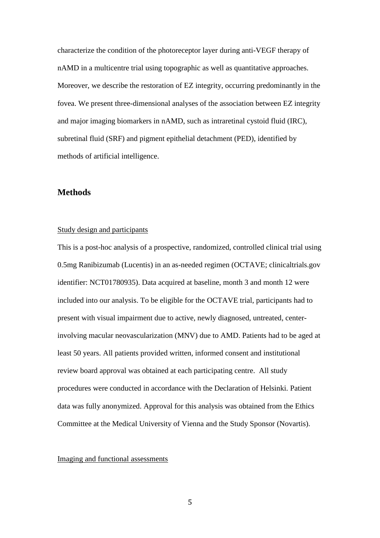characterize the condition of the photoreceptor layer during anti-VEGF therapy of nAMD in a multicentre trial using topographic as well as quantitative approaches. Moreover, we describe the restoration of EZ integrity, occurring predominantly in the fovea. We present three-dimensional analyses of the association between EZ integrity and major imaging biomarkers in nAMD, such as intraretinal cystoid fluid (IRC), subretinal fluid (SRF) and pigment epithelial detachment (PED), identified by methods of artificial intelligence.

## **Methods**

#### Study design and participants

This is a post-hoc analysis of a prospective, randomized, controlled clinical trial using 0.5mg Ranibizumab (Lucentis) in an as-needed regimen (OCTAVE; clinicaltrials.gov identifier: NCT01780935). Data acquired at baseline, month 3 and month 12 were included into our analysis. To be eligible for the OCTAVE trial, participants had to present with visual impairment due to active, newly diagnosed, untreated, centerinvolving macular neovascularization (MNV) due to AMD. Patients had to be aged at least 50 years. All patients provided written, informed consent and institutional review board approval was obtained at each participating centre. All study procedures were conducted in accordance with the Declaration of Helsinki. Patient data was fully anonymized. Approval for this analysis was obtained from the Ethics Committee at the Medical University of Vienna and the Study Sponsor (Novartis).

#### Imaging and functional assessments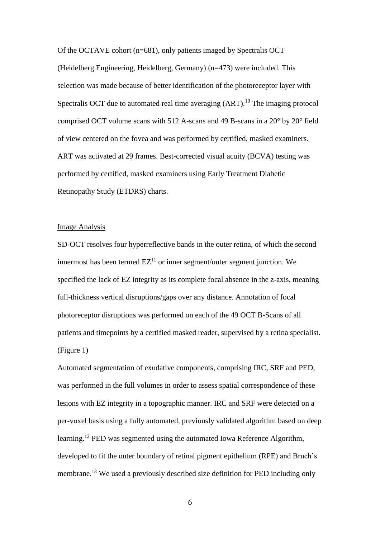Of the OCTAVE cohort (n=681), only patients imaged by Spectralis OCT (Heidelberg Engineering, Heidelberg, Germany) (n=473) were included. This selection was made because of better identification of the photoreceptor layer with Spectralis OCT due to automated real time averaging (ART).<sup>10</sup> The imaging protocol comprised OCT volume scans with 512 A-scans and 49 B-scans in a 20° by 20° field of view centered on the fovea and was performed by certified, masked examiners. ART was activated at 29 frames. Best-corrected visual acuity (BCVA) testing was performed by certified, masked examiners using Early Treatment Diabetic Retinopathy Study (ETDRS) charts.

## Image Analysis

SD-OCT resolves four hyperreflective bands in the outer retina, of which the second innermost has been termed  $EZ<sup>11</sup>$  or inner segment/outer segment junction. We specified the lack of EZ integrity as its complete focal absence in the z-axis, meaning full-thickness vertical disruptions/gaps over any distance. Annotation of focal photoreceptor disruptions was performed on each of the 49 OCT B-Scans of all patients and timepoints by a certified masked reader, supervised by a retina specialist. (Figure 1)

Automated segmentation of exudative components, comprising IRC, SRF and PED, was performed in the full volumes in order to assess spatial correspondence of these lesions with EZ integrity in a topographic manner. IRC and SRF were detected on a per-voxel basis using a fully automated, previously validated algorithm based on deep learning.<sup>12</sup> PED was segmented using the automated Iowa Reference Algorithm, developed to fit the outer boundary of retinal pigment epithelium (RPE) and Bruch's membrane.<sup>13</sup> We used a previously described size definition for PED including only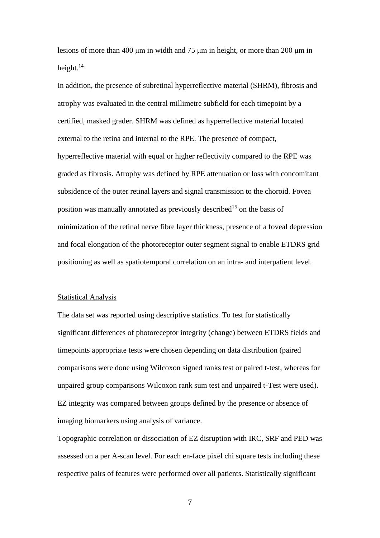lesions of more than 400 μm in width and 75 μm in height, or more than 200 μm in height.<sup>14</sup>

In addition, the presence of subretinal hyperreflective material (SHRM), fibrosis and atrophy was evaluated in the central millimetre subfield for each timepoint by a certified, masked grader. SHRM was defined as hyperreflective material located external to the retina and internal to the RPE. The presence of compact, hyperreflective material with equal or higher reflectivity compared to the RPE was graded as fibrosis. Atrophy was defined by RPE attenuation or loss with concomitant subsidence of the outer retinal layers and signal transmission to the choroid. Fovea position was manually annotated as previously described<sup>15</sup> on the basis of minimization of the retinal nerve fibre layer thickness, presence of a foveal depression and focal elongation of the photoreceptor outer segment signal to enable ETDRS grid positioning as well as spatiotemporal correlation on an intra- and interpatient level.

#### Statistical Analysis

The data set was reported using descriptive statistics. To test for statistically significant differences of photoreceptor integrity (change) between ETDRS fields and timepoints appropriate tests were chosen depending on data distribution (paired comparisons were done using Wilcoxon signed ranks test or paired t-test, whereas for unpaired group comparisons Wilcoxon rank sum test and unpaired t-Test were used). EZ integrity was compared between groups defined by the presence or absence of imaging biomarkers using analysis of variance.

Topographic correlation or dissociation of EZ disruption with IRC, SRF and PED was assessed on a per A-scan level. For each en-face pixel chi square tests including these respective pairs of features were performed over all patients. Statistically significant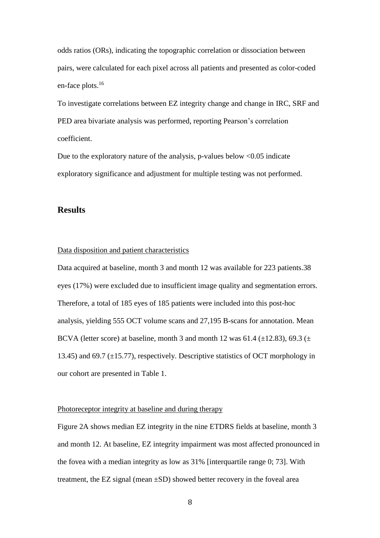odds ratios (ORs), indicating the topographic correlation or dissociation between pairs, were calculated for each pixel across all patients and presented as color-coded en-face plots. 16

To investigate correlations between EZ integrity change and change in IRC, SRF and PED area bivariate analysis was performed, reporting Pearson's correlation coefficient.

Due to the exploratory nature of the analysis, p-values below <0.05 indicate exploratory significance and adjustment for multiple testing was not performed.

## **Results**

## Data disposition and patient characteristics

Data acquired at baseline, month 3 and month 12 was available for 223 patients.38 eyes (17%) were excluded due to insufficient image quality and segmentation errors. Therefore, a total of 185 eyes of 185 patients were included into this post-hoc analysis, yielding 555 OCT volume scans and 27,195 B-scans for annotation. Mean BCVA (letter score) at baseline, month 3 and month 12 was 61.4 ( $\pm$ 12.83), 69.3 ( $\pm$ 13.45) and 69.7 (±15.77), respectively. Descriptive statistics of OCT morphology in our cohort are presented in Table 1.

#### Photoreceptor integrity at baseline and during therapy

Figure 2A shows median EZ integrity in the nine ETDRS fields at baseline, month 3 and month 12. At baseline, EZ integrity impairment was most affected pronounced in the fovea with a median integrity as low as 31% [interquartile range 0; 73]. With treatment, the EZ signal (mean ±SD) showed better recovery in the foveal area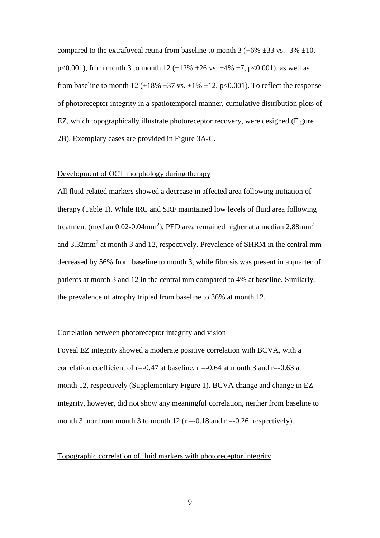compared to the extrafoveal retina from baseline to month 3 (+6%  $\pm$ 33 vs. -3%  $\pm$ 10, p<0.001), from month 3 to month 12 (+12%  $\pm 26$  vs. +4%  $\pm 7$ , p<0.001), as well as from baseline to month 12 (+18%  $\pm$ 37 vs. +1%  $\pm$ 12, p<0.001). To reflect the response of photoreceptor integrity in a spatiotemporal manner, cumulative distribution plots of EZ, which topographically illustrate photoreceptor recovery, were designed (Figure 2B). Exemplary cases are provided in Figure 3A-C.

#### Development of OCT morphology during therapy

All fluid-related markers showed a decrease in affected area following initiation of therapy (Table 1). While IRC and SRF maintained low levels of fluid area following treatment (median 0.02-0.04mm<sup>2</sup>), PED area remained higher at a median 2.88mm<sup>2</sup> and 3.32mm<sup>2</sup> at month 3 and 12, respectively. Prevalence of SHRM in the central mm decreased by 56% from baseline to month 3, while fibrosis was present in a quarter of patients at month 3 and 12 in the central mm compared to 4% at baseline. Similarly, the prevalence of atrophy tripled from baseline to 36% at month 12.

#### Correlation between photoreceptor integrity and vision

Foveal EZ integrity showed a moderate positive correlation with BCVA, with a correlation coefficient of  $r = 0.47$  at baseline,  $r = 0.64$  at month 3 and  $r = 0.63$  at month 12, respectively (Supplementary Figure 1). BCVA change and change in EZ integrity, however, did not show any meaningful correlation, neither from baseline to month 3, nor from month 3 to month 12 ( $r = -0.18$  and  $r = -0.26$ , respectively).

#### Topographic correlation of fluid markers with photoreceptor integrity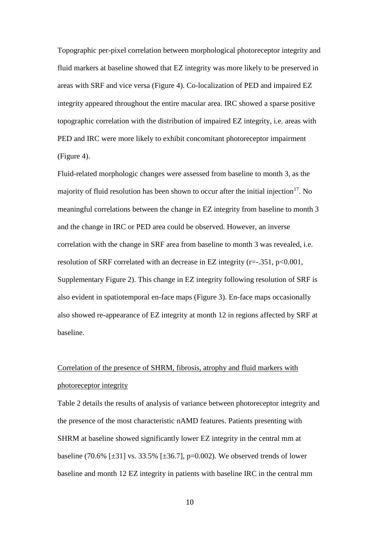Topographic per-pixel correlation between morphological photoreceptor integrity and fluid markers at baseline showed that EZ integrity was more likely to be preserved in areas with SRF and vice versa (Figure 4). Co-localization of PED and impaired EZ integrity appeared throughout the entire macular area. IRC showed a sparse positive topographic correlation with the distribution of impaired EZ integrity, i.e. areas with PED and IRC were more likely to exhibit concomitant photoreceptor impairment (Figure 4).

Fluid-related morphologic changes were assessed from baseline to month 3, as the majority of fluid resolution has been shown to occur after the initial injection<sup>17</sup>. No meaningful correlations between the change in EZ integrity from baseline to month 3 and the change in IRC or PED area could be observed. However, an inverse correlation with the change in SRF area from baseline to month 3 was revealed, i.e. resolution of SRF correlated with an decrease in EZ integrity (r=-.351, p<0.001, Supplementary Figure 2). This change in EZ integrity following resolution of SRF is also evident in spatiotemporal en-face maps (Figure 3). En-face maps occasionally also showed re-appearance of EZ integrity at month 12 in regions affected by SRF at baseline.

# Correlation of the presence of SHRM, fibrosis, atrophy and fluid markers with photoreceptor integrity

Table 2 details the results of analysis of variance between photoreceptor integrity and the presence of the most characteristic nAMD features. Patients presenting with SHRM at baseline showed significantly lower EZ integrity in the central mm at baseline (70.6% [ $\pm$ 31] vs. 33.5% [ $\pm$ 36.7], p=0.002). We observed trends of lower baseline and month 12 EZ integrity in patients with baseline IRC in the central mm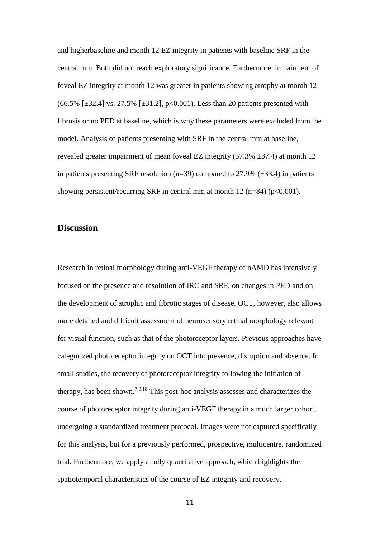and higherbaseline and month 12 EZ integrity in patients with baseline SRF in the central mm. Both did not reach exploratory significance. Furthermore, impairment of foveal EZ integrity at month 12 was greater in patients showing atrophy at month 12  $(66.5\%$  [ $\pm$ 32.4] vs. 27.5% [ $\pm$ 31.2], p<0.001). Less than 20 patients presented with fibrosis or no PED at baseline, which is why these parameters were excluded from the model. Analysis of patients presenting with SRF in the central mm at baseline, revealed greater impairment of mean foveal EZ integrity  $(57.3\% \pm 37.4)$  at month 12 in patients presenting SRF resolution (n=39) compared to 27.9% ( $\pm$ 33.4) in patients showing persistent/recurring SRF in central mm at month 12 (n=84) (p<0.001).

## **Discussion**

Research in retinal morphology during anti-VEGF therapy of nAMD has intensively focused on the presence and resolution of IRC and SRF, on changes in PED and on the development of atrophic and fibrotic stages of disease. OCT, however, also allows more detailed and difficult assessment of neurosensory retinal morphology relevant for visual function, such as that of the photoreceptor layers. Previous approaches have categorized photoreceptor integrity on OCT into presence, disruption and absence. In small studies, the recovery of photoreceptor integrity following the initiation of therapy, has been shown.<sup>7,9,18</sup> This post-hoc analysis assesses and characterizes the course of photoreceptor integrity during anti-VEGF therapy in a much larger cohort, undergoing a standardized treatment protocol. Images were not captured specifically for this analysis, but for a previously performed, prospective, multicentre, randomized trial. Furthermore, we apply a fully quantitative approach, which highlights the spatiotemporal characteristics of the course of EZ integrity and recovery.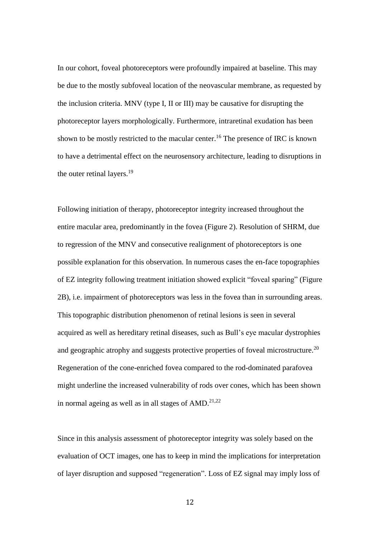In our cohort, foveal photoreceptors were profoundly impaired at baseline. This may be due to the mostly subfoveal location of the neovascular membrane, as requested by the inclusion criteria. MNV (type I, II or III) may be causative for disrupting the photoreceptor layers morphologically. Furthermore, intraretinal exudation has been shown to be mostly restricted to the macular center.<sup>16</sup> The presence of IRC is known to have a detrimental effect on the neurosensory architecture, leading to disruptions in the outer retinal layers.<sup>19</sup>

Following initiation of therapy, photoreceptor integrity increased throughout the entire macular area, predominantly in the fovea (Figure 2). Resolution of SHRM, due to regression of the MNV and consecutive realignment of photoreceptors is one possible explanation for this observation. In numerous cases the en-face topographies of EZ integrity following treatment initiation showed explicit "foveal sparing" (Figure 2B), i.e. impairment of photoreceptors was less in the fovea than in surrounding areas. This topographic distribution phenomenon of retinal lesions is seen in several acquired as well as hereditary retinal diseases, such as Bull's eye macular dystrophies and geographic atrophy and suggests protective properties of foveal microstructure.<sup>20</sup> Regeneration of the cone-enriched fovea compared to the rod-dominated parafovea might underline the increased vulnerability of rods over cones, which has been shown in normal ageing as well as in all stages of  $AMD$ .<sup>21,22</sup>

Since in this analysis assessment of photoreceptor integrity was solely based on the evaluation of OCT images, one has to keep in mind the implications for interpretation of layer disruption and supposed "regeneration". Loss of EZ signal may imply loss of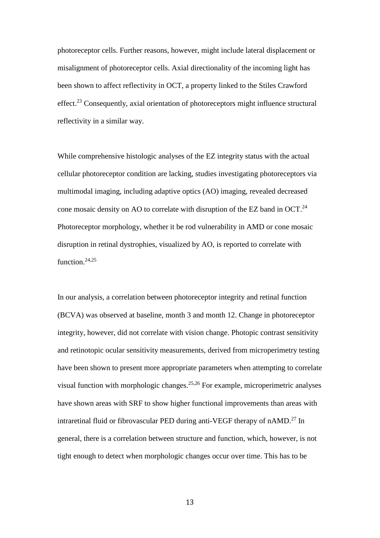photoreceptor cells. Further reasons, however, might include lateral displacement or misalignment of photoreceptor cells. Axial directionality of the incoming light has been shown to affect reflectivity in OCT, a property linked to the Stiles Crawford effect.<sup>23</sup> Consequently, axial orientation of photoreceptors might influence structural reflectivity in a similar way.

While comprehensive histologic analyses of the EZ integrity status with the actual cellular photoreceptor condition are lacking, studies investigating photoreceptors via multimodal imaging, including adaptive optics (AO) imaging, revealed decreased cone mosaic density on AO to correlate with disruption of the EZ band in OCT.<sup>24</sup> Photoreceptor morphology, whether it be rod vulnerability in AMD or cone mosaic disruption in retinal dystrophies, visualized by AO, is reported to correlate with function. 24,25

In our analysis, a correlation between photoreceptor integrity and retinal function (BCVA) was observed at baseline, month 3 and month 12. Change in photoreceptor integrity, however, did not correlate with vision change. Photopic contrast sensitivity and retinotopic ocular sensitivity measurements, derived from microperimetry testing have been shown to present more appropriate parameters when attempting to correlate visual function with morphologic changes.25,26 For example, microperimetric analyses have shown areas with SRF to show higher functional improvements than areas with intraretinal fluid or fibrovascular PED during anti-VEGF therapy of nAMD.<sup>27</sup> In general, there is a correlation between structure and function, which, however, is not tight enough to detect when morphologic changes occur over time. This has to be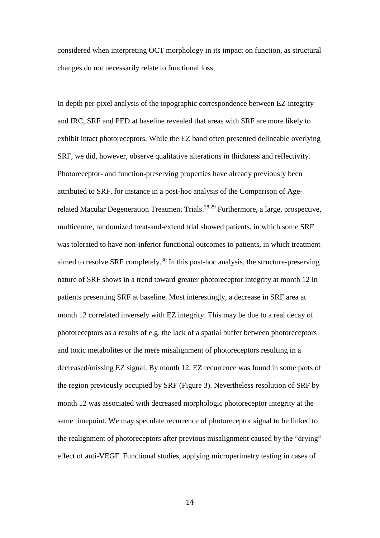considered when interpreting OCT morphology in its impact on function, as structural changes do not necessarily relate to functional loss.

In depth per-pixel analysis of the topographic correspondence between EZ integrity and IRC, SRF and PED at baseline revealed that areas with SRF are more likely to exhibit intact photoreceptors. While the EZ band often presented delineable overlying SRF, we did, however, observe qualitative alterations in thickness and reflectivity. Photoreceptor- and function-preserving properties have already previously been attributed to SRF, for instance in a post-hoc analysis of the Comparison of Agerelated Macular Degeneration Treatment Trials.<sup>28,29</sup> Furthermore, a large, prospective, multicentre, randomized treat-and-extend trial showed patients, in which some SRF was tolerated to have non-inferior functional outcomes to patients, in which treatment aimed to resolve SRF completely.<sup>30</sup> In this post-hoc analysis, the structure-preserving nature of SRF shows in a trend toward greater photoreceptor integrity at month 12 in patients presenting SRF at baseline. Most interestingly, a decrease in SRF area at month 12 correlated inversely with EZ integrity. This may be due to a real decay of photoreceptors as a results of e.g. the lack of a spatial buffer between photoreceptors and toxic metabolites or the mere misalignment of photoreceptors resulting in a decreased/missing EZ signal. By month 12, EZ recurrence was found in some parts of the region previously occupied by SRF (Figure 3). Nevertheless resolution of SRF by month 12 was associated with decreased morphologic photoreceptor integrity at the same timepoint. We may speculate recurrence of photoreceptor signal to be linked to the realignment of photoreceptors after previous misalignment caused by the "drying" effect of anti-VEGF. Functional studies, applying microperimetry testing in cases of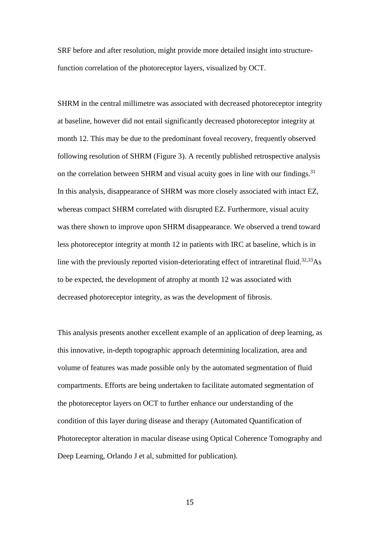SRF before and after resolution, might provide more detailed insight into structurefunction correlation of the photoreceptor layers, visualized by OCT.

SHRM in the central millimetre was associated with decreased photoreceptor integrity at baseline, however did not entail significantly decreased photoreceptor integrity at month 12. This may be due to the predominant foveal recovery, frequently observed following resolution of SHRM (Figure 3). A recently published retrospective analysis on the correlation between SHRM and visual acuity goes in line with our findings.<sup>31</sup> In this analysis, disappearance of SHRM was more closely associated with intact EZ, whereas compact SHRM correlated with disrupted EZ. Furthermore, visual acuity was there shown to improve upon SHRM disappearance. We observed a trend toward less photoreceptor integrity at month 12 in patients with IRC at baseline, which is in line with the previously reported vision-deteriorating effect of intraretinal fluid.<sup>32,33</sup>As to be expected, the development of atrophy at month 12 was associated with decreased photoreceptor integrity, as was the development of fibrosis.

This analysis presents another excellent example of an application of deep learning, as this innovative, in-depth topographic approach determining localization, area and volume of features was made possible only by the automated segmentation of fluid compartments. Efforts are being undertaken to facilitate automated segmentation of the photoreceptor layers on OCT to further enhance our understanding of the condition of this layer during disease and therapy (Automated Quantification of Photoreceptor alteration in macular disease using Optical Coherence Tomography and Deep Learning, Orlando J et al, submitted for publication).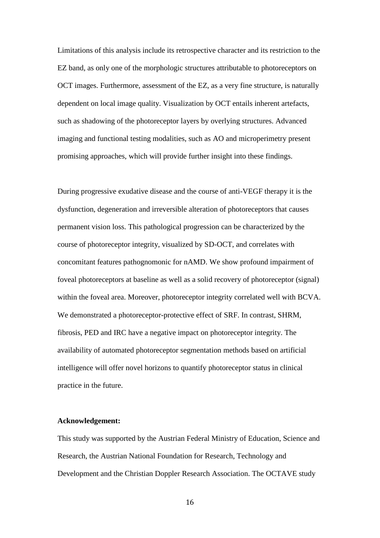Limitations of this analysis include its retrospective character and its restriction to the EZ band, as only one of the morphologic structures attributable to photoreceptors on OCT images. Furthermore, assessment of the EZ, as a very fine structure, is naturally dependent on local image quality. Visualization by OCT entails inherent artefacts, such as shadowing of the photoreceptor layers by overlying structures. Advanced imaging and functional testing modalities, such as AO and microperimetry present promising approaches, which will provide further insight into these findings.

During progressive exudative disease and the course of anti-VEGF therapy it is the dysfunction, degeneration and irreversible alteration of photoreceptors that causes permanent vision loss. This pathological progression can be characterized by the course of photoreceptor integrity, visualized by SD-OCT, and correlates with concomitant features pathognomonic for nAMD. We show profound impairment of foveal photoreceptors at baseline as well as a solid recovery of photoreceptor (signal) within the foveal area. Moreover, photoreceptor integrity correlated well with BCVA. We demonstrated a photoreceptor-protective effect of SRF. In contrast, SHRM, fibrosis, PED and IRC have a negative impact on photoreceptor integrity. The availability of automated photoreceptor segmentation methods based on artificial intelligence will offer novel horizons to quantify photoreceptor status in clinical practice in the future.

#### **Acknowledgement:**

This study was supported by the Austrian Federal Ministry of Education, Science and Research, the Austrian National Foundation for Research, Technology and Development and the Christian Doppler Research Association. The OCTAVE study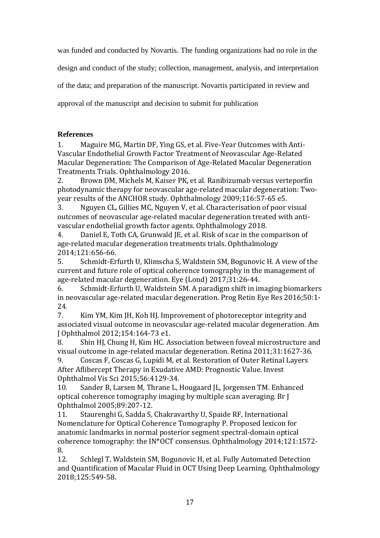was funded and conducted by Novartis. The funding organizations had no role in the design and conduct of the study; collection, management, analysis, and interpretation of the data; and preparation of the manuscript. Novartis participated in review and

approval of the manuscript and decision to submit for publication

## **References**

1. Maguire MG, Martin DF, Ying GS, et al. Five-Year Outcomes with Anti-Vascular Endothelial Growth Factor Treatment of Neovascular Age-Related Macular Degeneration: The Comparison of Age-Related Macular Degeneration Treatments Trials. Ophthalmology 2016.

2. Brown DM, Michels M, Kaiser PK, et al. Ranibizumab versus verteporfin photodynamic therapy for neovascular age-related macular degeneration: Twoyear results of the ANCHOR study. Ophthalmology 2009;116:57-65 e5.

3. Nguyen CL, Gillies MC, Nguyen V, et al. Characterisation of poor visual outcomes of neovascular age-related macular degeneration treated with antivascular endothelial growth factor agents. Ophthalmology 2018.

4. Daniel E, Toth CA, Grunwald JE, et al. Risk of scar in the comparison of age-related macular degeneration treatments trials. Ophthalmology 2014;121:656-66.

5. Schmidt-Erfurth U, Klimscha S, Waldstein SM, Bogunovic H. A view of the current and future role of optical coherence tomography in the management of age-related macular degeneration. Eye (Lond) 2017;31:26-44.

6. Schmidt-Erfurth U, Waldstein SM. A paradigm shift in imaging biomarkers in neovascular age-related macular degeneration. Prog Retin Eye Res 2016;50:1- 24.

7. Kim YM, Kim JH, Koh HJ. Improvement of photoreceptor integrity and associated visual outcome in neovascular age-related macular degeneration. Am J Ophthalmol 2012;154:164-73 e1.

8. Shin HJ, Chung H, Kim HC. Association between foveal microstructure and visual outcome in age-related macular degeneration. Retina 2011;31:1627-36.

9. Coscas F, Coscas G, Lupidi M, et al. Restoration of Outer Retinal Layers After Aflibercept Therapy in Exudative AMD: Prognostic Value. Invest Ophthalmol Vis Sci 2015;56:4129-34.

10. Sander B, Larsen M, Thrane L, Hougaard JL, Jorgensen TM. Enhanced optical coherence tomography imaging by multiple scan averaging. Br J Ophthalmol 2005;89:207-12.

11. Staurenghi G, Sadda S, Chakravarthy U, Spaide RF, International Nomenclature for Optical Coherence Tomography P. Proposed lexicon for anatomic landmarks in normal posterior segment spectral-domain optical coherence tomography: the IN\*OCT consensus. Ophthalmology 2014;121:1572- 8.

12. Schlegl T, Waldstein SM, Bogunovic H, et al. Fully Automated Detection and Quantification of Macular Fluid in OCT Using Deep Learning. Ophthalmology 2018;125:549-58.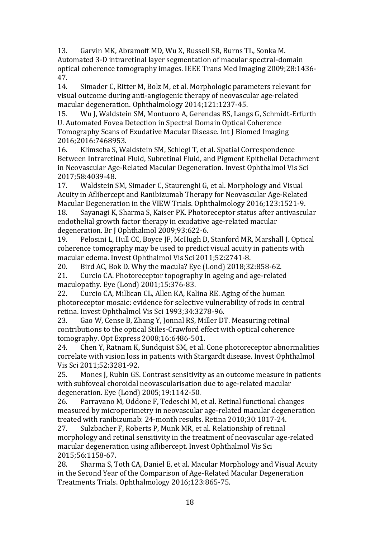13. Garvin MK, Abramoff MD, Wu X, Russell SR, Burns TL, Sonka M. Automated 3-D intraretinal layer segmentation of macular spectral-domain optical coherence tomography images. IEEE Trans Med Imaging 2009;28:1436- 47.

14. Simader C, Ritter M, Bolz M, et al. Morphologic parameters relevant for visual outcome during anti-angiogenic therapy of neovascular age-related macular degeneration. Ophthalmology 2014;121:1237-45.

15. Wu J, Waldstein SM, Montuoro A, Gerendas BS, Langs G, Schmidt-Erfurth U. Automated Fovea Detection in Spectral Domain Optical Coherence Tomography Scans of Exudative Macular Disease. Int J Biomed Imaging 2016;2016:7468953.

16. Klimscha S, Waldstein SM, Schlegl T, et al. Spatial Correspondence Between Intraretinal Fluid, Subretinal Fluid, and Pigment Epithelial Detachment in Neovascular Age-Related Macular Degeneration. Invest Ophthalmol Vis Sci 2017;58:4039-48.

17. Waldstein SM, Simader C, Staurenghi G, et al. Morphology and Visual Acuity in Aflibercept and Ranibizumab Therapy for Neovascular Age-Related Macular Degeneration in the VIEW Trials. Ophthalmology 2016;123:1521-9.

18. Sayanagi K, Sharma S, Kaiser PK. Photoreceptor status after antivascular endothelial growth factor therapy in exudative age-related macular degeneration. Br J Ophthalmol 2009;93:622-6.

19. Pelosini L, Hull CC, Boyce JF, McHugh D, Stanford MR, Marshall J. Optical coherence tomography may be used to predict visual acuity in patients with macular edema. Invest Ophthalmol Vis Sci 2011;52:2741-8.

20. Bird AC, Bok D. Why the macula? Eye (Lond) 2018;32:858-62. 21. Curcio CA. Photoreceptor topography in ageing and age-related maculopathy. Eye (Lond) 2001;15:376-83.

22. Curcio CA, Millican CL, Allen KA, Kalina RE. Aging of the human photoreceptor mosaic: evidence for selective vulnerability of rods in central retina. Invest Ophthalmol Vis Sci 1993;34:3278-96.

23. Gao W, Cense B, Zhang Y, Jonnal RS, Miller DT. Measuring retinal contributions to the optical Stiles-Crawford effect with optical coherence tomography. Opt Express 2008;16:6486-501.

24. Chen Y, Ratnam K, Sundquist SM, et al. Cone photoreceptor abnormalities correlate with vision loss in patients with Stargardt disease. Invest Ophthalmol Vis Sci 2011;52:3281-92.

25. Mones J, Rubin GS. Contrast sensitivity as an outcome measure in patients with subfoveal choroidal neovascularisation due to age-related macular degeneration. Eye (Lond) 2005;19:1142-50.

26. Parravano M, Oddone F, Tedeschi M, et al. Retinal functional changes measured by microperimetry in neovascular age-related macular degeneration treated with ranibizumab: 24-month results. Retina 2010;30:1017-24.

27. Sulzbacher F, Roberts P, Munk MR, et al. Relationship of retinal morphology and retinal sensitivity in the treatment of neovascular age-related macular degeneration using aflibercept. Invest Ophthalmol Vis Sci 2015;56:1158-67.

28. Sharma S, Toth CA, Daniel E, et al. Macular Morphology and Visual Acuity in the Second Year of the Comparison of Age-Related Macular Degeneration Treatments Trials. Ophthalmology 2016;123:865-75.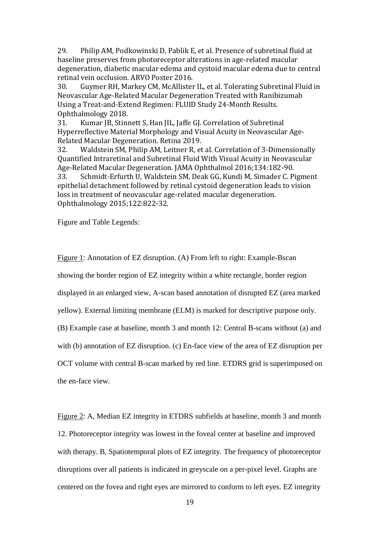29. Philip AM, Podkowinski D, Pablik E, et al. Presence of subretinal fluid at baseline preserves from photoreceptor alterations in age-related macular degeneration, diabetic macular edema and cystoid macular edema due to central retinal vein occlusion. ARVO Poster 2016.

30. Guymer RH, Markey CM, McAllister IL, et al. Tolerating Subretinal Fluid in Neovascular Age-Related Macular Degeneration Treated with Ranibizumab Using a Treat-and-Extend Regimen: FLUID Study 24-Month Results. Ophthalmology 2018.

31. Kumar JB, Stinnett S, Han JIL, Jaffe GJ. Correlation of Subretinal Hyperreflective Material Morphology and Visual Acuity in Neovascular Age-Related Macular Degeneration. Retina 2019.

32. Waldstein SM, Philip AM, Leitner R, et al. Correlation of 3-Dimensionally Quantified Intraretinal and Subretinal Fluid With Visual Acuity in Neovascular Age-Related Macular Degeneration. JAMA Ophthalmol 2016;134:182-90. 33. Schmidt-Erfurth U, Waldstein SM, Deak GG, Kundi M, Simader C. Pigment epithelial detachment followed by retinal cystoid degeneration leads to vision

loss in treatment of neovascular age-related macular degeneration. Ophthalmology 2015;122:822-32.

Figure and Table Legends:

Figure 1: Annotation of EZ disruption. (A) From left to right: Example-Bscan showing the border region of EZ integrity within a white rectangle, border region displayed in an enlarged view, A-scan based annotation of disrupted EZ (area marked yellow). External limiting membrane (ELM) is marked for descriptive purpose only. (B) Example case at baseline, month 3 and month 12: Central B-scans without (a) and with (b) annotation of EZ disruption. (c) En-face view of the area of EZ disruption per OCT volume with central B-scan marked by red line. ETDRS grid is superimposed on the en-face view.

Figure 2: A, Median EZ integrity in ETDRS subfields at baseline, month 3 and month 12. Photoreceptor integrity was lowest in the foveal center at baseline and improved with therapy. B, Spatiotemporal plots of EZ integrity. The frequency of photoreceptor disruptions over all patients is indicated in greyscale on a per-pixel level. Graphs are centered on the fovea and right eyes are mirrored to conform to left eyes. EZ integrity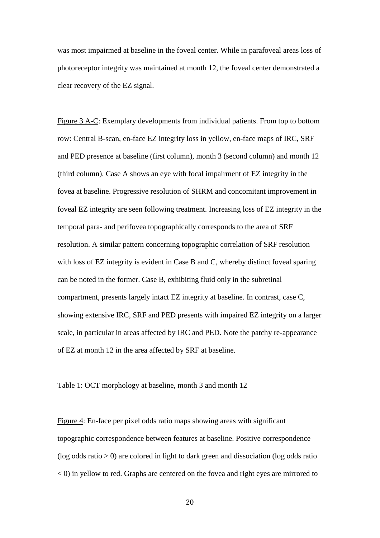was most impairmed at baseline in the foveal center. While in parafoveal areas loss of photoreceptor integrity was maintained at month 12, the foveal center demonstrated a clear recovery of the EZ signal.

Figure 3 A-C: Exemplary developments from individual patients. From top to bottom row: Central B-scan, en-face EZ integrity loss in yellow, en-face maps of IRC, SRF and PED presence at baseline (first column), month 3 (second column) and month 12 (third column). Case A shows an eye with focal impairment of EZ integrity in the fovea at baseline. Progressive resolution of SHRM and concomitant improvement in foveal EZ integrity are seen following treatment. Increasing loss of EZ integrity in the temporal para- and perifovea topographically corresponds to the area of SRF resolution. A similar pattern concerning topographic correlation of SRF resolution with loss of EZ integrity is evident in Case B and C, whereby distinct foveal sparing can be noted in the former. Case B, exhibiting fluid only in the subretinal compartment, presents largely intact EZ integrity at baseline. In contrast, case C, showing extensive IRC, SRF and PED presents with impaired EZ integrity on a larger scale, in particular in areas affected by IRC and PED. Note the patchy re-appearance of EZ at month 12 in the area affected by SRF at baseline.

#### Table 1: OCT morphology at baseline, month 3 and month 12

Figure 4: En-face per pixel odds ratio maps showing areas with significant topographic correspondence between features at baseline. Positive correspondence (log odds ratio > 0) are colored in light to dark green and dissociation (log odds ratio < 0) in yellow to red. Graphs are centered on the fovea and right eyes are mirrored to